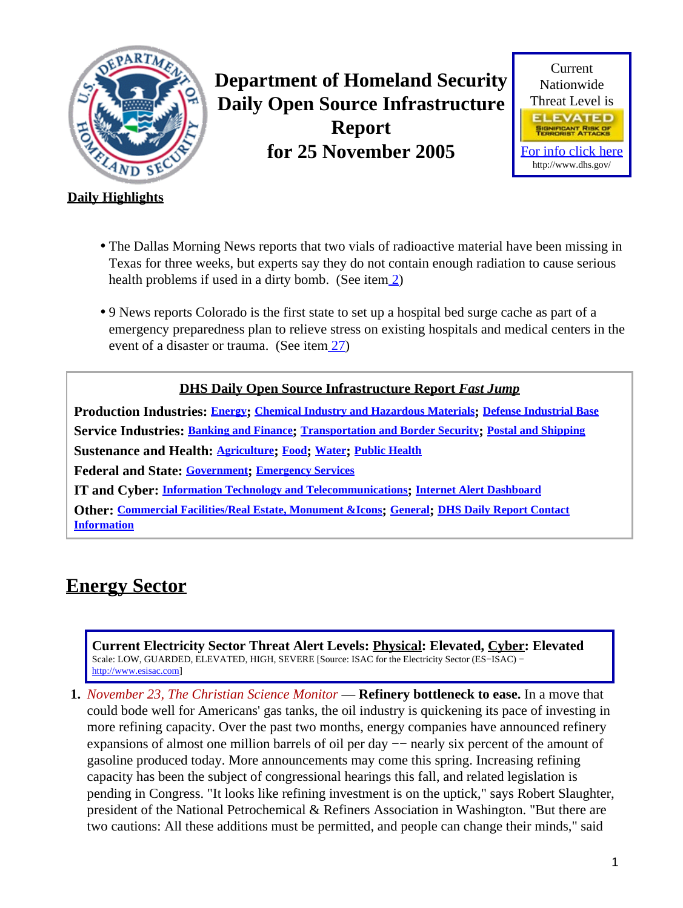<span id="page-0-1"></span>

**Department of Homeland Security Daily Open Source Infrastructure Report for 25 November 2005**



### **Daily Highlights**

- The Dallas Morning News reports that two vials of radioactive material have been missing in Texas for three weeks, but experts say they do not contain enough radiation to cause serious health problems if used in a dirty bomb. (See ite[m 2\)](#page-1-0)
- 9 News reports Colorado is the first state to set up a hospital bed surge cache as part of a emergency preparedness plan to relieve stress on existing hospitals and medical centers in the event of a disaster or trauma. (See item [27\)](#page-9-0)

### **DHS Daily Open Source Infrastructure Report** *Fast Jump*

**Production Industries: [Energy](#page-0-0); [Chemical Industry and Hazardous Materials](#page-2-0); [Defense Industrial Base](#page-2-1) Service Industries: [Banking and Finance](#page-2-2); [Transportation and Border Security](#page-3-0); [Postal and Shipping](#page-5-0) Sustenance and Health: [Agriculture](#page-6-0); [Food](#page-6-1); [Water](#page-7-0); [Public Health](#page-8-0) Federal and State: [Government](#page-10-0); [Emergency Services](#page-11-0) IT and Cyber: [Information Technology and Telecommunications](#page-12-0); [Internet Alert Dashboard](#page-13-0) Other: [Commercial Facilities/Real Estate, Monument &Icons](#page-14-0); [General](#page-15-0); [DHS Daily Report Contact](#page-15-1)**

**[Information](#page-15-1)**

# <span id="page-0-0"></span>**Energy Sector**

**Current Electricity Sector Threat Alert Levels: Physical: Elevated, Cyber: Elevated** Scale: LOW, GUARDED, ELEVATED, HIGH, SEVERE [Source: ISAC for the Electricity Sector (ES−ISAC) − [http://www.esisac.com](http://esisac.com)]

**1.** *November 23, The Christian Science Monitor* — **Refinery bottleneck to ease.** In a move that could bode well for Americans' gas tanks, the oil industry is quickening its pace of investing in more refining capacity. Over the past two months, energy companies have announced refinery expansions of almost one million barrels of oil per day −− nearly six percent of the amount of gasoline produced today. More announcements may come this spring. Increasing refining capacity has been the subject of congressional hearings this fall, and related legislation is pending in Congress. "It looks like refining investment is on the uptick," says Robert Slaughter, president of the National Petrochemical & Refiners Association in Washington. "But there are two cautions: All these additions must be permitted, and people can change their minds," said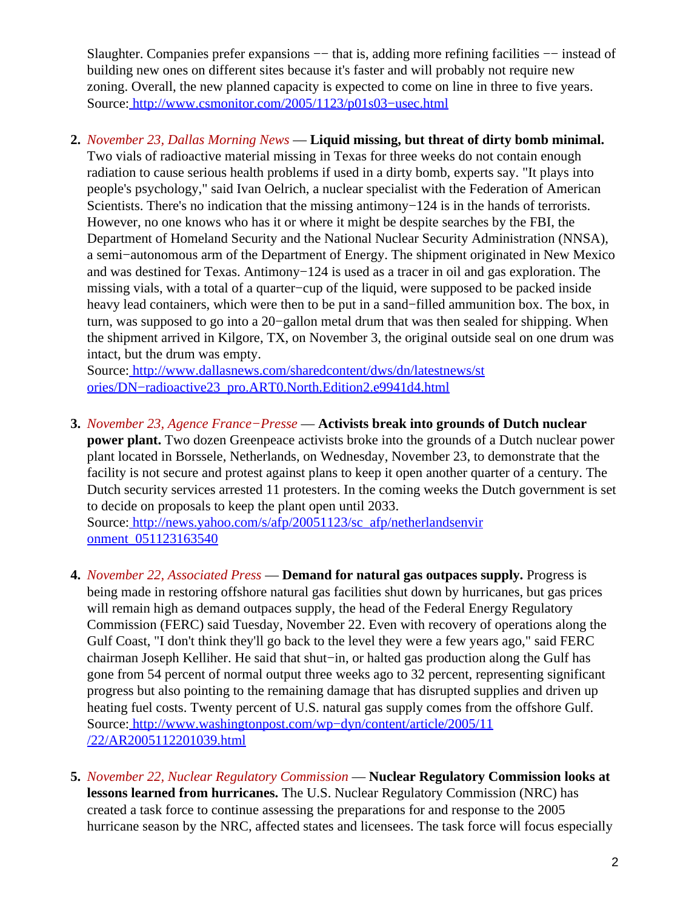Slaughter. Companies prefer expansions —− that is, adding more refining facilities —− instead of building new ones on different sites because it's faster and will probably not require new zoning. Overall, the new planned capacity is expected to come on line in three to five years. Source[: http://www.csmonitor.com/2005/1123/p01s03−usec.html](http://www.csmonitor.com/2005/1123/p01s03-usec.html)

### <span id="page-1-0"></span>**2.** *November 23, Dallas Morning News* — **Liquid missing, but threat of dirty bomb minimal.**

Two vials of radioactive material missing in Texas for three weeks do not contain enough radiation to cause serious health problems if used in a dirty bomb, experts say. "It plays into people's psychology," said Ivan Oelrich, a nuclear specialist with the Federation of American Scientists. There's no indication that the missing antimony−124 is in the hands of terrorists. However, no one knows who has it or where it might be despite searches by the FBI, the Department of Homeland Security and the National Nuclear Security Administration (NNSA), a semi−autonomous arm of the Department of Energy. The shipment originated in New Mexico and was destined for Texas. Antimony−124 is used as a tracer in oil and gas exploration. The missing vials, with a total of a quarter−cup of the liquid, were supposed to be packed inside heavy lead containers, which were then to be put in a sand−filled ammunition box. The box, in turn, was supposed to go into a 20−gallon metal drum that was then sealed for shipping. When the shipment arrived in Kilgore, TX, on November 3, the original outside seal on one drum was intact, but the drum was empty.

Source[: http://www.dallasnews.com/sharedcontent/dws/dn/latestnews/st](http://www.dallasnews.com/sharedcontent/dws/dn/latestnews/stories/DN-radioactive23_pro.ART0.North.Edition2.e9941d4.html) [ories/DN−radioactive23\\_pro.ART0.North.Edition2.e9941d4.html](http://www.dallasnews.com/sharedcontent/dws/dn/latestnews/stories/DN-radioactive23_pro.ART0.North.Edition2.e9941d4.html)

**3.** *November 23, Agence France−Presse* — **Activists break into grounds of Dutch nuclear power plant.** Two dozen Greenpeace activists broke into the grounds of a Dutch nuclear power plant located in Borssele, Netherlands, on Wednesday, November 23, to demonstrate that the facility is not secure and protest against plans to keep it open another quarter of a century. The Dutch security services arrested 11 protesters. In the coming weeks the Dutch government is set to decide on proposals to keep the plant open until 2033.

Source[: http://news.yahoo.com/s/afp/20051123/sc\\_afp/netherlandsenvir](http://news.yahoo.com/s/afp/20051123/sc_afp/netherlandsenvironment_051123163540) onment 051123163540

- **4.** *November 22, Associated Press* — **Demand for natural gas outpaces supply.** Progress is being made in restoring offshore natural gas facilities shut down by hurricanes, but gas prices will remain high as demand outpaces supply, the head of the Federal Energy Regulatory Commission (FERC) said Tuesday, November 22. Even with recovery of operations along the Gulf Coast, "I don't think they'll go back to the level they were a few years ago," said FERC chairman Joseph Kelliher. He said that shut−in, or halted gas production along the Gulf has gone from 54 percent of normal output three weeks ago to 32 percent, representing significant progress but also pointing to the remaining damage that has disrupted supplies and driven up heating fuel costs. Twenty percent of U.S. natural gas supply comes from the offshore Gulf. Source[: http://www.washingtonpost.com/wp−dyn/content/article/2005/11](http://www.washingtonpost.com/wp-dyn/content/article/2005/11/22/AR2005112201039.html) [/22/AR2005112201039.html](http://www.washingtonpost.com/wp-dyn/content/article/2005/11/22/AR2005112201039.html)
- **5.** *November 22, Nuclear Regulatory Commission* — **Nuclear Regulatory Commission looks at lessons learned from hurricanes.** The U.S. Nuclear Regulatory Commission (NRC) has created a task force to continue assessing the preparations for and response to the 2005 hurricane season by the NRC, affected states and licensees. The task force will focus especially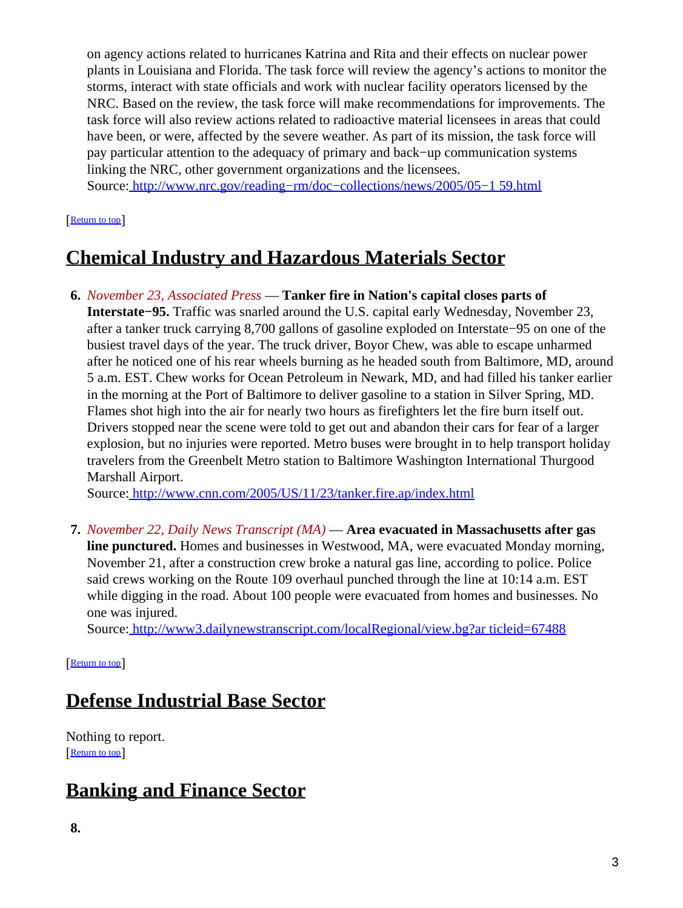on agency actions related to hurricanes Katrina and Rita and their effects on nuclear power plants in Louisiana and Florida. The task force will review the agency's actions to monitor the storms, interact with state officials and work with nuclear facility operators licensed by the NRC. Based on the review, the task force will make recommendations for improvements. The task force will also review actions related to radioactive material licensees in areas that could have been, or were, affected by the severe weather. As part of its mission, the task force will pay particular attention to the adequacy of primary and back−up communication systems linking the NRC, other government organizations and the licensees.

Source[: http://www.nrc.gov/reading−rm/doc−collections/news/2005/05−1 59.html](http://www.nrc.gov/reading-rm/doc-collections/news/2005/05-159.html)

#### [[Return to top](#page-0-1)]

# <span id="page-2-0"></span>**Chemical Industry and Hazardous Materials Sector**

**6.** *November 23, Associated Press* — **Tanker fire in Nation's capital closes parts of Interstate−95.** Traffic was snarled around the U.S. capital early Wednesday, November 23, after a tanker truck carrying 8,700 gallons of gasoline exploded on Interstate−95 on one of the busiest travel days of the year. The truck driver, Boyor Chew, was able to escape unharmed after he noticed one of his rear wheels burning as he headed south from Baltimore, MD, around 5 a.m. EST. Chew works for Ocean Petroleum in Newark, MD, and had filled his tanker earlier in the morning at the Port of Baltimore to deliver gasoline to a station in Silver Spring, MD. Flames shot high into the air for nearly two hours as firefighters let the fire burn itself out. Drivers stopped near the scene were told to get out and abandon their cars for fear of a larger explosion, but no injuries were reported. Metro buses were brought in to help transport holiday travelers from the Greenbelt Metro station to Baltimore Washington International Thurgood Marshall Airport.

Source[: http://www.cnn.com/2005/US/11/23/tanker.fire.ap/index.html](http://www.cnn.com/2005/US/11/23/tanker.fire.ap/index.html)

**7.** *November 22, Daily News Transcript (MA)* — **Area evacuated in Massachusetts after gas line punctured.** Homes and businesses in Westwood, MA, were evacuated Monday morning, November 21, after a construction crew broke a natural gas line, according to police. Police said crews working on the Route 109 overhaul punched through the line at 10:14 a.m. EST while digging in the road. About 100 people were evacuated from homes and businesses. No one was injured.

Source[: http://www3.dailynewstranscript.com/localRegional/view.bg?ar ticleid=67488](http://www3.dailynewstranscript.com/localRegional/view.bg?articleid=67488)

[[Return to top](#page-0-1)]

# <span id="page-2-1"></span>**Defense Industrial Base Sector**

Nothing to report. [[Return to top](#page-0-1)]

# <span id="page-2-2"></span>**Banking and Finance Sector**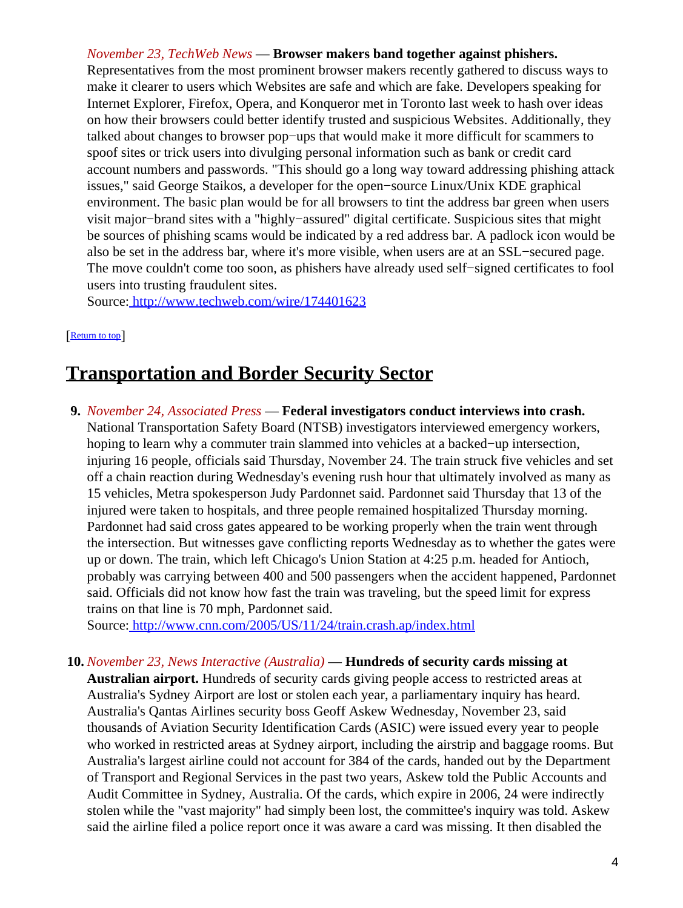#### *November 23, TechWeb News* — **Browser makers band together against phishers.**

Representatives from the most prominent browser makers recently gathered to discuss ways to make it clearer to users which Websites are safe and which are fake. Developers speaking for Internet Explorer, Firefox, Opera, and Konqueror met in Toronto last week to hash over ideas on how their browsers could better identify trusted and suspicious Websites. Additionally, they talked about changes to browser pop−ups that would make it more difficult for scammers to spoof sites or trick users into divulging personal information such as bank or credit card account numbers and passwords. "This should go a long way toward addressing phishing attack issues," said George Staikos, a developer for the open−source Linux/Unix KDE graphical environment. The basic plan would be for all browsers to tint the address bar green when users visit major−brand sites with a "highly−assured" digital certificate. Suspicious sites that might be sources of phishing scams would be indicated by a red address bar. A padlock icon would be also be set in the address bar, where it's more visible, when users are at an SSL−secured page. The move couldn't come too soon, as phishers have already used self−signed certificates to fool users into trusting fraudulent sites.

Source[: http://www.techweb.com/wire/174401623](http://www.techweb.com/wire/174401623)

#### [[Return to top](#page-0-1)]

## <span id="page-3-0"></span>**Transportation and Border Security Sector**

**9.** *November 24, Associated Press* — **Federal investigators conduct interviews into crash.** National Transportation Safety Board (NTSB) investigators interviewed emergency workers, hoping to learn why a commuter train slammed into vehicles at a backed−up intersection, injuring 16 people, officials said Thursday, November 24. The train struck five vehicles and set off a chain reaction during Wednesday's evening rush hour that ultimately involved as many as 15 vehicles, Metra spokesperson Judy Pardonnet said. Pardonnet said Thursday that 13 of the injured were taken to hospitals, and three people remained hospitalized Thursday morning. Pardonnet had said cross gates appeared to be working properly when the train went through the intersection. But witnesses gave conflicting reports Wednesday as to whether the gates were up or down. The train, which left Chicago's Union Station at 4:25 p.m. headed for Antioch, probably was carrying between 400 and 500 passengers when the accident happened, Pardonnet said. Officials did not know how fast the train was traveling, but the speed limit for express trains on that line is 70 mph, Pardonnet said.

Source[: http://www.cnn.com/2005/US/11/24/train.crash.ap/index.html](http://www.cnn.com/2005/US/11/24/train.crash.ap/index.html)

#### **10.** *November 23, News Interactive (Australia)* — **Hundreds of security cards missing at**

**Australian airport.** Hundreds of security cards giving people access to restricted areas at Australia's Sydney Airport are lost or stolen each year, a parliamentary inquiry has heard. Australia's Qantas Airlines security boss Geoff Askew Wednesday, November 23, said thousands of Aviation Security Identification Cards (ASIC) were issued every year to people who worked in restricted areas at Sydney airport, including the airstrip and baggage rooms. But Australia's largest airline could not account for 384 of the cards, handed out by the Department of Transport and Regional Services in the past two years, Askew told the Public Accounts and Audit Committee in Sydney, Australia. Of the cards, which expire in 2006, 24 were indirectly stolen while the "vast majority" had simply been lost, the committee's inquiry was told. Askew said the airline filed a police report once it was aware a card was missing. It then disabled the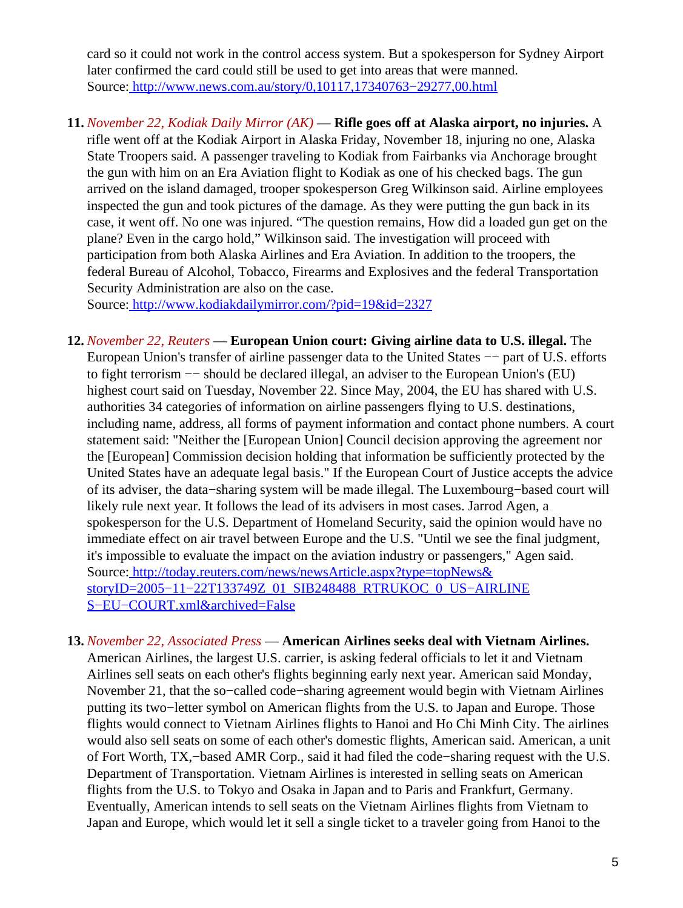card so it could not work in the control access system. But a spokesperson for Sydney Airport later confirmed the card could still be used to get into areas that were manned. Source[: http://www.news.com.au/story/0,10117,17340763−29277,00.html](http://www.news.com.au/story/0,10117,17340763-29277,00.html)

**11.** *November 22, Kodiak Daily Mirror (AK)* — **Rifle goes off at Alaska airport, no injuries.** A rifle went off at the Kodiak Airport in Alaska Friday, November 18, injuring no one, Alaska State Troopers said. A passenger traveling to Kodiak from Fairbanks via Anchorage brought the gun with him on an Era Aviation flight to Kodiak as one of his checked bags. The gun arrived on the island damaged, trooper spokesperson Greg Wilkinson said. Airline employees inspected the gun and took pictures of the damage. As they were putting the gun back in its case, it went off. No one was injured. "The question remains, How did a loaded gun get on the plane? Even in the cargo hold," Wilkinson said. The investigation will proceed with participation from both Alaska Airlines and Era Aviation. In addition to the troopers, the federal Bureau of Alcohol, Tobacco, Firearms and Explosives and the federal Transportation Security Administration are also on the case.

Source[: http://www.kodiakdailymirror.com/?pid=19&id=2327](http://www.kodiakdailymirror.com/?pid=19&id=2327)

- **12.** *November 22, Reuters* — **European Union court: Giving airline data to U.S. illegal.** The European Union's transfer of airline passenger data to the United States −− part of U.S. efforts to fight terrorism −− should be declared illegal, an adviser to the European Union's (EU) highest court said on Tuesday, November 22. Since May, 2004, the EU has shared with U.S. authorities 34 categories of information on airline passengers flying to U.S. destinations, including name, address, all forms of payment information and contact phone numbers. A court statement said: "Neither the [European Union] Council decision approving the agreement nor the [European] Commission decision holding that information be sufficiently protected by the United States have an adequate legal basis." If the European Court of Justice accepts the advice of its adviser, the data−sharing system will be made illegal. The Luxembourg−based court will likely rule next year. It follows the lead of its advisers in most cases. Jarrod Agen, a spokesperson for the U.S. Department of Homeland Security, said the opinion would have no immediate effect on air travel between Europe and the U.S. "Until we see the final judgment, it's impossible to evaluate the impact on the aviation industry or passengers," Agen said. Source[: http://today.reuters.com/news/newsArticle.aspx?type=topNews&](http://today.reuters.com/news/newsArticle.aspx?type=topNews&storyID=2005-11-22T133749Z_01_SIB248488_RTRUKOC_0_US-AIRLINES-EU-COURT.xml&archived=False) [storyID=2005−11−22T133749Z\\_01\\_SIB248488\\_RTRUKOC\\_0\\_US−AIRLINE](http://today.reuters.com/news/newsArticle.aspx?type=topNews&storyID=2005-11-22T133749Z_01_SIB248488_RTRUKOC_0_US-AIRLINES-EU-COURT.xml&archived=False) [S−EU−COURT.xml&archived=False](http://today.reuters.com/news/newsArticle.aspx?type=topNews&storyID=2005-11-22T133749Z_01_SIB248488_RTRUKOC_0_US-AIRLINES-EU-COURT.xml&archived=False)
- **13.** *November 22, Associated Press* — **American Airlines seeks deal with Vietnam Airlines.** American Airlines, the largest U.S. carrier, is asking federal officials to let it and Vietnam Airlines sell seats on each other's flights beginning early next year. American said Monday, November 21, that the so−called code−sharing agreement would begin with Vietnam Airlines putting its two−letter symbol on American flights from the U.S. to Japan and Europe. Those flights would connect to Vietnam Airlines flights to Hanoi and Ho Chi Minh City. The airlines would also sell seats on some of each other's domestic flights, American said. American, a unit of Fort Worth, TX,−based AMR Corp., said it had filed the code−sharing request with the U.S. Department of Transportation. Vietnam Airlines is interested in selling seats on American flights from the U.S. to Tokyo and Osaka in Japan and to Paris and Frankfurt, Germany. Eventually, American intends to sell seats on the Vietnam Airlines flights from Vietnam to Japan and Europe, which would let it sell a single ticket to a traveler going from Hanoi to the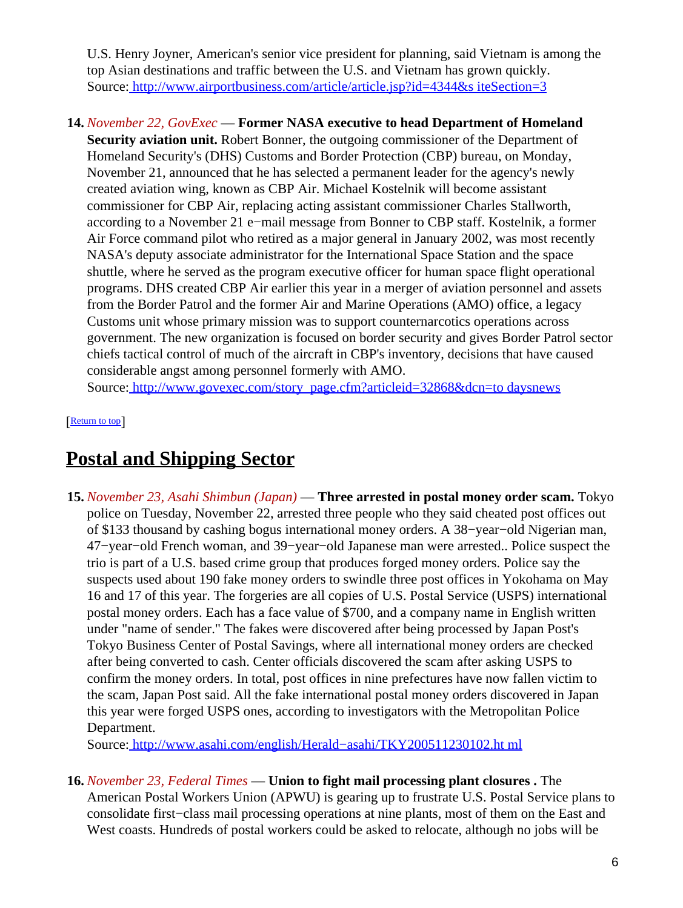U.S. Henry Joyner, American's senior vice president for planning, said Vietnam is among the top Asian destinations and traffic between the U.S. and Vietnam has grown quickly. Source[: http://www.airportbusiness.com/article/article.jsp?id=4344&s iteSection=3](http://www.airportbusiness.com/article/article.jsp?id=4344&siteSection=3)

#### **14.** *November 22, GovExec* — **Former NASA executive to head Department of Homeland**

**Security aviation unit.** Robert Bonner, the outgoing commissioner of the Department of Homeland Security's (DHS) Customs and Border Protection (CBP) bureau, on Monday, November 21, announced that he has selected a permanent leader for the agency's newly created aviation wing, known as CBP Air. Michael Kostelnik will become assistant commissioner for CBP Air, replacing acting assistant commissioner Charles Stallworth, according to a November 21 e−mail message from Bonner to CBP staff. Kostelnik, a former Air Force command pilot who retired as a major general in January 2002, was most recently NASA's deputy associate administrator for the International Space Station and the space shuttle, where he served as the program executive officer for human space flight operational programs. DHS created CBP Air earlier this year in a merger of aviation personnel and assets from the Border Patrol and the former Air and Marine Operations (AMO) office, a legacy Customs unit whose primary mission was to support counternarcotics operations across government. The new organization is focused on border security and gives Border Patrol sector chiefs tactical control of much of the aircraft in CBP's inventory, decisions that have caused considerable angst among personnel formerly with AMO.

Source[: http://www.govexec.com/story\\_page.cfm?articleid=32868&dcn=to daysnews](http://www.govexec.com/story_page.cfm?articleid=32868&dcn=todaysnews)

[[Return to top](#page-0-1)]

## <span id="page-5-0"></span>**Postal and Shipping Sector**

**15.** *November 23, Asahi Shimbun (Japan)* — **Three arrested in postal money order scam.** Tokyo police on Tuesday, November 22, arrested three people who they said cheated post offices out of \$133 thousand by cashing bogus international money orders. A 38−year−old Nigerian man, 47−year−old French woman, and 39−year−old Japanese man were arrested.. Police suspect the trio is part of a U.S. based crime group that produces forged money orders. Police say the suspects used about 190 fake money orders to swindle three post offices in Yokohama on May 16 and 17 of this year. The forgeries are all copies of U.S. Postal Service (USPS) international postal money orders. Each has a face value of \$700, and a company name in English written under "name of sender." The fakes were discovered after being processed by Japan Post's Tokyo Business Center of Postal Savings, where all international money orders are checked after being converted to cash. Center officials discovered the scam after asking USPS to confirm the money orders. In total, post offices in nine prefectures have now fallen victim to the scam, Japan Post said. All the fake international postal money orders discovered in Japan this year were forged USPS ones, according to investigators with the Metropolitan Police Department.

Source[: http://www.asahi.com/english/Herald−asahi/TKY200511230102.ht ml](http://www.asahi.com/english/Herald-asahi/TKY200511230102.html)

**16.** *November 23, Federal Times* — **Union to fight mail processing plant closures .** The American Postal Workers Union (APWU) is gearing up to frustrate U.S. Postal Service plans to consolidate first−class mail processing operations at nine plants, most of them on the East and West coasts. Hundreds of postal workers could be asked to relocate, although no jobs will be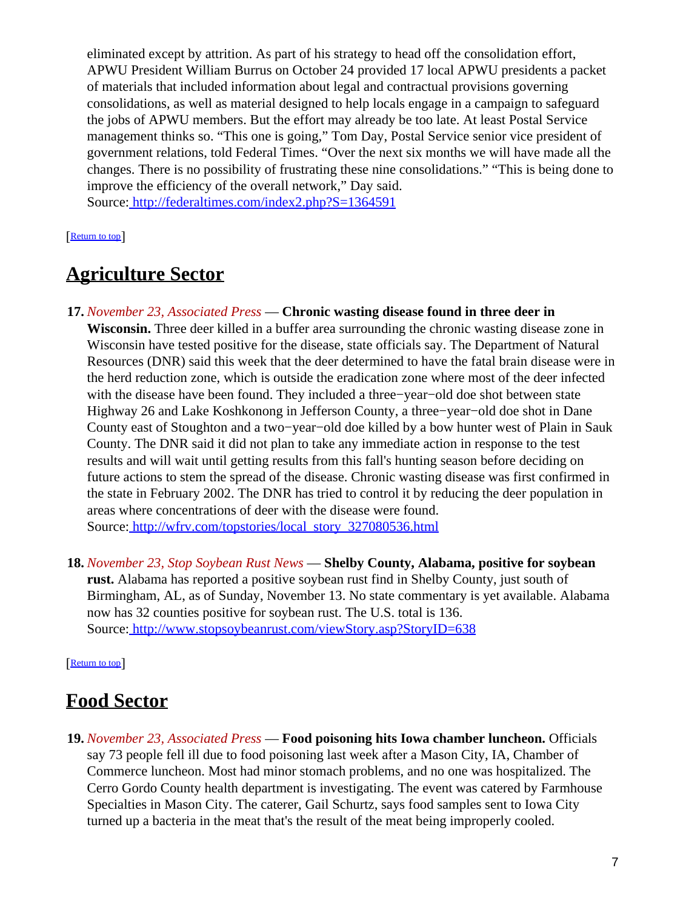eliminated except by attrition. As part of his strategy to head off the consolidation effort, APWU President William Burrus on October 24 provided 17 local APWU presidents a packet of materials that included information about legal and contractual provisions governing consolidations, as well as material designed to help locals engage in a campaign to safeguard the jobs of APWU members. But the effort may already be too late. At least Postal Service management thinks so. "This one is going," Tom Day, Postal Service senior vice president of government relations, told Federal Times. "Over the next six months we will have made all the changes. There is no possibility of frustrating these nine consolidations." "This is being done to improve the efficiency of the overall network," Day said.

Source[: http://federaltimes.com/index2.php?S=1364591](http://federaltimes.com/index2.php?S=1364591)

[[Return to top](#page-0-1)]

## <span id="page-6-0"></span>**Agriculture Sector**

**17.** *November 23, Associated Press* — **Chronic wasting disease found in three deer in**

**Wisconsin.** Three deer killed in a buffer area surrounding the chronic wasting disease zone in Wisconsin have tested positive for the disease, state officials say. The Department of Natural Resources (DNR) said this week that the deer determined to have the fatal brain disease were in the herd reduction zone, which is outside the eradication zone where most of the deer infected with the disease have been found. They included a three−year−old doe shot between state Highway 26 and Lake Koshkonong in Jefferson County, a three−year−old doe shot in Dane County east of Stoughton and a two−year−old doe killed by a bow hunter west of Plain in Sauk County. The DNR said it did not plan to take any immediate action in response to the test results and will wait until getting results from this fall's hunting season before deciding on future actions to stem the spread of the disease. Chronic wasting disease was first confirmed in the state in February 2002. The DNR has tried to control it by reducing the deer population in areas where concentrations of deer with the disease were found. Source[: http://wfrv.com/topstories/local\\_story\\_327080536.html](http://wfrv.com/topstories/local_story_327080536.html)

**18.** *November 23, Stop Soybean Rust News* — **Shelby County, Alabama, positive for soybean rust.** Alabama has reported a positive soybean rust find in Shelby County, just south of Birmingham, AL, as of Sunday, November 13. No state commentary is yet available. Alabama now has 32 counties positive for soybean rust. The U.S. total is 136. Source[: http://www.stopsoybeanrust.com/viewStory.asp?StoryID=638](http://www.stopsoybeanrust.com/viewStory.asp?StoryID=638)

[[Return to top](#page-0-1)]

## <span id="page-6-1"></span>**Food Sector**

**19.** *November 23, Associated Press* — **Food poisoning hits Iowa chamber luncheon.** Officials say 73 people fell ill due to food poisoning last week after a Mason City, IA, Chamber of Commerce luncheon. Most had minor stomach problems, and no one was hospitalized. The Cerro Gordo County health department is investigating. The event was catered by Farmhouse Specialties in Mason City. The caterer, Gail Schurtz, says food samples sent to Iowa City turned up a bacteria in the meat that's the result of the meat being improperly cooled.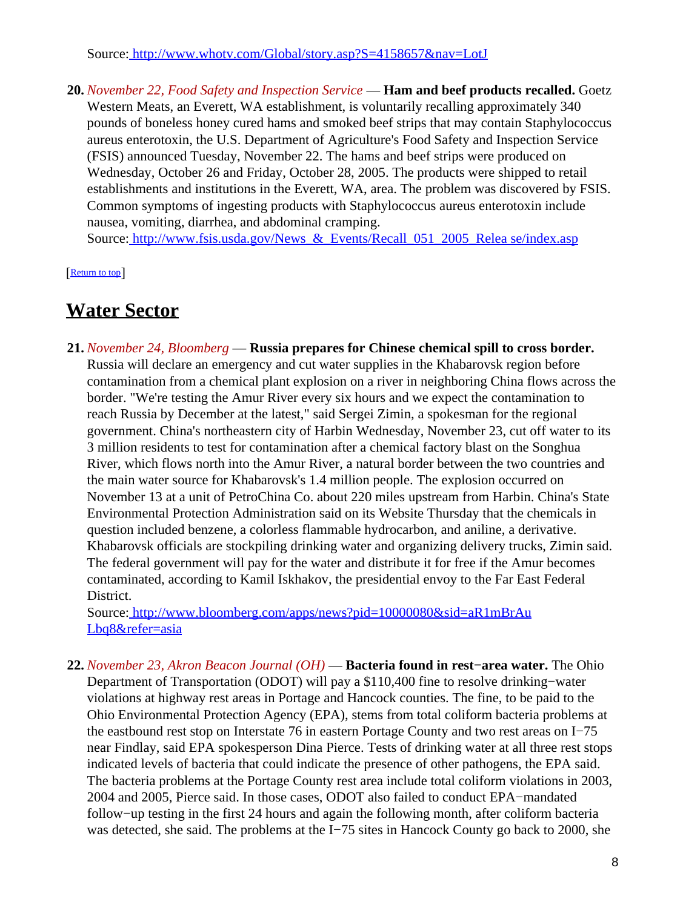Source[: http://www.whotv.com/Global/story.asp?S=4158657&nav=LotJ](http://www.whotv.com/Global/story.asp?S=4158657&nav=LotJ)

**20.** *November 22, Food Safety and Inspection Service* — **Ham and beef products recalled.** Goetz Western Meats, an Everett, WA establishment, is voluntarily recalling approximately 340 pounds of boneless honey cured hams and smoked beef strips that may contain Staphylococcus aureus enterotoxin, the U.S. Department of Agriculture's Food Safety and Inspection Service (FSIS) announced Tuesday, November 22. The hams and beef strips were produced on Wednesday, October 26 and Friday, October 28, 2005. The products were shipped to retail establishments and institutions in the Everett, WA, area. The problem was discovered by FSIS. Common symptoms of ingesting products with Staphylococcus aureus enterotoxin include nausea, vomiting, diarrhea, and abdominal cramping. Source: http://www.fsis.usda.gov/News & Events/Recall 051 2005 Relea se/index.asp

[[Return to top](#page-0-1)]

### <span id="page-7-0"></span>**Water Sector**

**21.** *November 24, Bloomberg* — **Russia prepares for Chinese chemical spill to cross border.** Russia will declare an emergency and cut water supplies in the Khabarovsk region before contamination from a chemical plant explosion on a river in neighboring China flows across the border. "We're testing the Amur River every six hours and we expect the contamination to reach Russia by December at the latest," said Sergei Zimin, a spokesman for the regional government. China's northeastern city of Harbin Wednesday, November 23, cut off water to its 3 million residents to test for contamination after a chemical factory blast on the Songhua River, which flows north into the Amur River, a natural border between the two countries and the main water source for Khabarovsk's 1.4 million people. The explosion occurred on November 13 at a unit of PetroChina Co. about 220 miles upstream from Harbin. China's State Environmental Protection Administration said on its Website Thursday that the chemicals in question included benzene, a colorless flammable hydrocarbon, and aniline, a derivative. Khabarovsk officials are stockpiling drinking water and organizing delivery trucks, Zimin said. The federal government will pay for the water and distribute it for free if the Amur becomes contaminated, according to Kamil Iskhakov, the presidential envoy to the Far East Federal District.

Source[: http://www.bloomberg.com/apps/news?pid=10000080&sid=aR1mBrAu](http://www.bloomberg.com/apps/news?pid=10000080&sid=aR1mBrAuLbq8&refer=asia) [Lbq8&refer=asia](http://www.bloomberg.com/apps/news?pid=10000080&sid=aR1mBrAuLbq8&refer=asia)

**22.** *November 23, Akron Beacon Journal (OH)* — **Bacteria found in rest−area water.** The Ohio Department of Transportation (ODOT) will pay a \$110,400 fine to resolve drinking−water violations at highway rest areas in Portage and Hancock counties. The fine, to be paid to the Ohio Environmental Protection Agency (EPA), stems from total coliform bacteria problems at the eastbound rest stop on Interstate 76 in eastern Portage County and two rest areas on I−75 near Findlay, said EPA spokesperson Dina Pierce. Tests of drinking water at all three rest stops indicated levels of bacteria that could indicate the presence of other pathogens, the EPA said. The bacteria problems at the Portage County rest area include total coliform violations in 2003, 2004 and 2005, Pierce said. In those cases, ODOT also failed to conduct EPA−mandated follow−up testing in the first 24 hours and again the following month, after coliform bacteria was detected, she said. The problems at the I−75 sites in Hancock County go back to 2000, she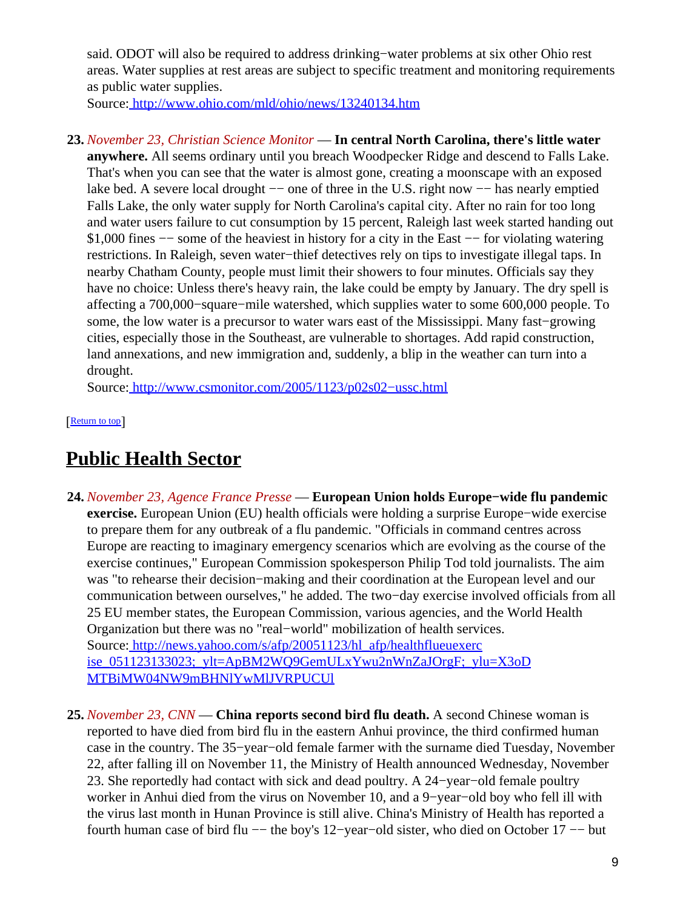said. ODOT will also be required to address drinking−water problems at six other Ohio rest areas. Water supplies at rest areas are subject to specific treatment and monitoring requirements as public water supplies.

Source[: http://www.ohio.com/mld/ohio/news/13240134.htm](http://www.ohio.com/mld/ohio/news/13240134.htm)

**23.** *November 23, Christian Science Monitor* — **In central North Carolina, there's little water anywhere.** All seems ordinary until you breach Woodpecker Ridge and descend to Falls Lake. That's when you can see that the water is almost gone, creating a moonscape with an exposed lake bed. A severe local drought −− one of three in the U.S. right now −− has nearly emptied Falls Lake, the only water supply for North Carolina's capital city. After no rain for too long and water users failure to cut consumption by 15 percent, Raleigh last week started handing out \$1,000 fines −− some of the heaviest in history for a city in the East −− for violating watering restrictions. In Raleigh, seven water−thief detectives rely on tips to investigate illegal taps. In nearby Chatham County, people must limit their showers to four minutes. Officials say they have no choice: Unless there's heavy rain, the lake could be empty by January. The dry spell is affecting a 700,000−square−mile watershed, which supplies water to some 600,000 people. To some, the low water is a precursor to water wars east of the Mississippi. Many fast−growing cities, especially those in the Southeast, are vulnerable to shortages. Add rapid construction, land annexations, and new immigration and, suddenly, a blip in the weather can turn into a drought.

Source[: http://www.csmonitor.com/2005/1123/p02s02−ussc.html](http://www.csmonitor.com/2005/1123/p02s02-ussc.html)

[[Return to top](#page-0-1)]

# <span id="page-8-0"></span>**Public Health Sector**

- **24.** *November 23, Agence France Presse* — **European Union holds Europe−wide flu pandemic exercise.** European Union (EU) health officials were holding a surprise Europe−wide exercise to prepare them for any outbreak of a flu pandemic. "Officials in command centres across Europe are reacting to imaginary emergency scenarios which are evolving as the course of the exercise continues," European Commission spokesperson Philip Tod told journalists. The aim was "to rehearse their decision−making and their coordination at the European level and our communication between ourselves," he added. The two−day exercise involved officials from all 25 EU member states, the European Commission, various agencies, and the World Health Organization but there was no "real−world" mobilization of health services. Source[: http://news.yahoo.com/s/afp/20051123/hl\\_afp/healthflueuexerc](http://news.yahoo.com/s/afp/20051123/hl_afp/healthflueuexercise_051123133023;_ylt=ApBM2WQ9GemULxYwu2nWnZaJOrgF;_ylu=X3oDMTBiMW04NW9mBHNlYwMlJVRPUCUl) [ise\\_051123133023;\\_ylt=ApBM2WQ9GemULxYwu2nWnZaJOrgF;\\_ylu=X3oD](http://news.yahoo.com/s/afp/20051123/hl_afp/healthflueuexercise_051123133023;_ylt=ApBM2WQ9GemULxYwu2nWnZaJOrgF;_ylu=X3oDMTBiMW04NW9mBHNlYwMlJVRPUCUl) [MTBiMW04NW9mBHNlYwMlJVRPUCUl](http://news.yahoo.com/s/afp/20051123/hl_afp/healthflueuexercise_051123133023;_ylt=ApBM2WQ9GemULxYwu2nWnZaJOrgF;_ylu=X3oDMTBiMW04NW9mBHNlYwMlJVRPUCUl)
- **25.** *November 23, CNN* — **China reports second bird flu death.** A second Chinese woman is reported to have died from bird flu in the eastern Anhui province, the third confirmed human case in the country. The 35−year−old female farmer with the surname died Tuesday, November 22, after falling ill on November 11, the Ministry of Health announced Wednesday, November 23. She reportedly had contact with sick and dead poultry. A 24−year−old female poultry worker in Anhui died from the virus on November 10, and a 9−year−old boy who fell ill with the virus last month in Hunan Province is still alive. China's Ministry of Health has reported a fourth human case of bird flu −− the boy's 12−year−old sister, who died on October 17 −− but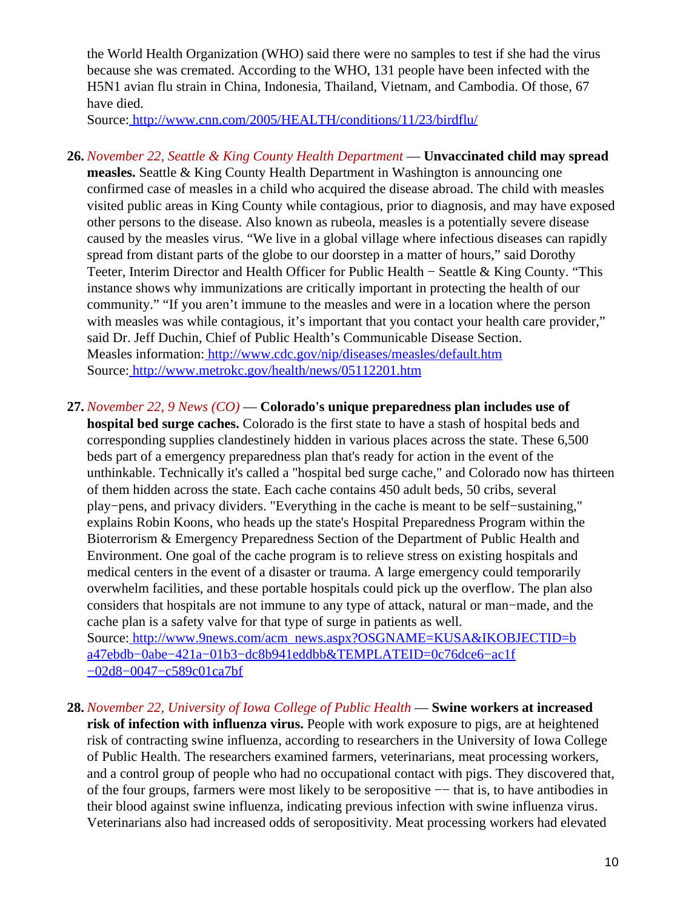the World Health Organization (WHO) said there were no samples to test if she had the virus because she was cremated. According to the WHO, 131 people have been infected with the H5N1 avian flu strain in China, Indonesia, Thailand, Vietnam, and Cambodia. Of those, 67 have died.

Source[: http://www.cnn.com/2005/HEALTH/conditions/11/23/birdflu/](http://www.cnn.com/2005/HEALTH/conditions/11/23/birdflu/)

**26.** *November 22, Seattle & King County Health Department* — **Unvaccinated child may spread measles.** Seattle & King County Health Department in Washington is announcing one confirmed case of measles in a child who acquired the disease abroad. The child with measles visited public areas in King County while contagious, prior to diagnosis, and may have exposed other persons to the disease. Also known as rubeola, measles is a potentially severe disease caused by the measles virus. "We live in a global village where infectious diseases can rapidly spread from distant parts of the globe to our doorstep in a matter of hours," said Dorothy Teeter, Interim Director and Health Officer for Public Health − Seattle & King County. "This instance shows why immunizations are critically important in protecting the health of our community." "If you aren't immune to the measles and were in a location where the person with measles was while contagious, it's important that you contact your health care provider," said Dr. Jeff Duchin, Chief of Public Health's Communicable Disease Section. Measles information[: http://www.cdc.gov/nip/diseases/measles/default.htm](http://www.cdc.gov/nip/diseases/measles/default.htm) Source[: http://www.metrokc.gov/health/news/05112201.htm](http://www.metrokc.gov/health/news/05112201.htm)

#### <span id="page-9-0"></span>**27.** *November 22, 9 News (CO)* — **Colorado's unique preparedness plan includes use of**

**hospital bed surge caches.** Colorado is the first state to have a stash of hospital beds and corresponding supplies clandestinely hidden in various places across the state. These 6,500 beds part of a emergency preparedness plan that's ready for action in the event of the unthinkable. Technically it's called a "hospital bed surge cache," and Colorado now has thirteen of them hidden across the state. Each cache contains 450 adult beds, 50 cribs, several play−pens, and privacy dividers. "Everything in the cache is meant to be self−sustaining," explains Robin Koons, who heads up the state's Hospital Preparedness Program within the Bioterrorism & Emergency Preparedness Section of the Department of Public Health and Environment. One goal of the cache program is to relieve stress on existing hospitals and medical centers in the event of a disaster or trauma. A large emergency could temporarily overwhelm facilities, and these portable hospitals could pick up the overflow. The plan also considers that hospitals are not immune to any type of attack, natural or man−made, and the cache plan is a safety valve for that type of surge in patients as well. Source[: http://www.9news.com/acm\\_news.aspx?OSGNAME=KUSA&IKOBJECTID=b](http://www.9news.com/acm_news.aspx?OSGNAME=KUSA&IKOBJECTID=ba47ebdb-0abe-421a-01b3-dc8b941eddbb&TEMPLATEID=0c76dce6-ac1f-02d8-0047-c589c01ca7bf) [a47ebdb−0abe−421a−01b3−dc8b941eddbb&TEMPLATEID=0c76dce6−ac1f](http://www.9news.com/acm_news.aspx?OSGNAME=KUSA&IKOBJECTID=ba47ebdb-0abe-421a-01b3-dc8b941eddbb&TEMPLATEID=0c76dce6-ac1f-02d8-0047-c589c01ca7bf) [−02d8−0047−c589c01ca7bf](http://www.9news.com/acm_news.aspx?OSGNAME=KUSA&IKOBJECTID=ba47ebdb-0abe-421a-01b3-dc8b941eddbb&TEMPLATEID=0c76dce6-ac1f-02d8-0047-c589c01ca7bf)

**28.** *November 22, University of Iowa College of Public Health* — **Swine workers at increased risk of infection with influenza virus.** People with work exposure to pigs, are at heightened risk of contracting swine influenza, according to researchers in the University of Iowa College of Public Health. The researchers examined farmers, veterinarians, meat processing workers, and a control group of people who had no occupational contact with pigs. They discovered that, of the four groups, farmers were most likely to be seropositive −− that is, to have antibodies in their blood against swine influenza, indicating previous infection with swine influenza virus. Veterinarians also had increased odds of seropositivity. Meat processing workers had elevated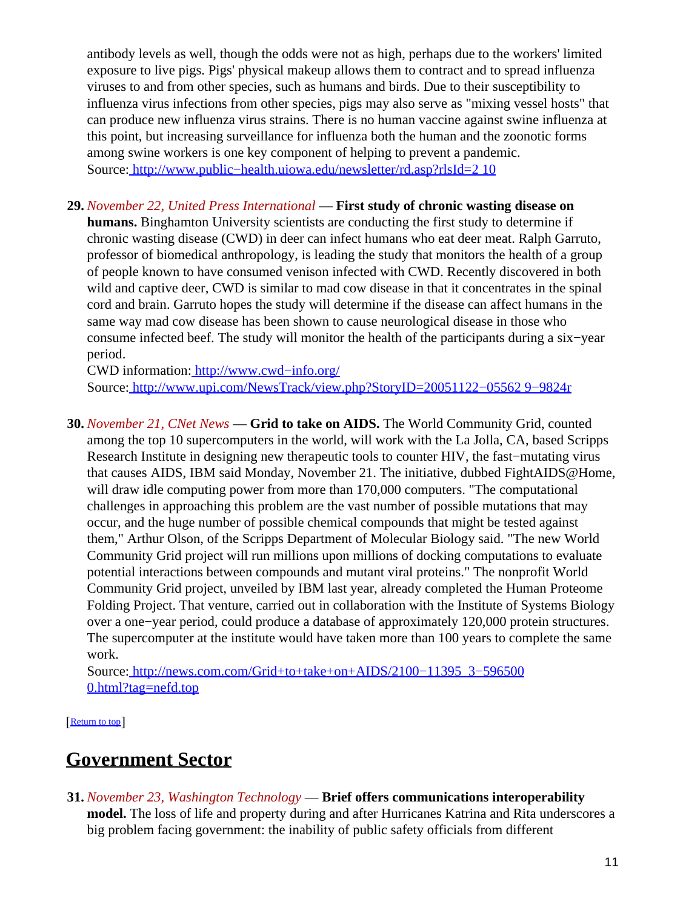antibody levels as well, though the odds were not as high, perhaps due to the workers' limited exposure to live pigs. Pigs' physical makeup allows them to contract and to spread influenza viruses to and from other species, such as humans and birds. Due to their susceptibility to influenza virus infections from other species, pigs may also serve as "mixing vessel hosts" that can produce new influenza virus strains. There is no human vaccine against swine influenza at this point, but increasing surveillance for influenza both the human and the zoonotic forms among swine workers is one key component of helping to prevent a pandemic. Source[: http://www.public−health.uiowa.edu/newsletter/rd.asp?rlsId=2 10](http://www.public-health.uiowa.edu/newsletter/rd.asp?rlsId=210)

**29.** *November 22, United Press International* — **First study of chronic wasting disease on humans.** Binghamton University scientists are conducting the first study to determine if chronic wasting disease (CWD) in deer can infect humans who eat deer meat. Ralph Garruto, professor of biomedical anthropology, is leading the study that monitors the health of a group of people known to have consumed venison infected with CWD. Recently discovered in both wild and captive deer, CWD is similar to mad cow disease in that it concentrates in the spinal cord and brain. Garruto hopes the study will determine if the disease can affect humans in the same way mad cow disease has been shown to cause neurological disease in those who consume infected beef. The study will monitor the health of the participants during a six−year period.

CWD information: [http://www.cwd−info.org/](http://www.cwd-info.org/) Source[: http://www.upi.com/NewsTrack/view.php?StoryID=20051122−05562 9−9824r](http://www.upi.com/NewsTrack/view.php?StoryID=20051122-055629-9824r)

**30.** *November 21, CNet News* — **Grid to take on AIDS.** The World Community Grid, counted among the top 10 supercomputers in the world, will work with the La Jolla, CA, based Scripps Research Institute in designing new therapeutic tools to counter HIV, the fast−mutating virus that causes AIDS, IBM said Monday, November 21. The initiative, dubbed FightAIDS@Home, will draw idle computing power from more than 170,000 computers. "The computational challenges in approaching this problem are the vast number of possible mutations that may occur, and the huge number of possible chemical compounds that might be tested against them," Arthur Olson, of the Scripps Department of Molecular Biology said. "The new World Community Grid project will run millions upon millions of docking computations to evaluate potential interactions between compounds and mutant viral proteins." The nonprofit World Community Grid project, unveiled by IBM last year, already completed the Human Proteome Folding Project. That venture, carried out in collaboration with the Institute of Systems Biology over a one−year period, could produce a database of approximately 120,000 protein structures. The supercomputer at the institute would have taken more than 100 years to complete the same work.

Source[: http://news.com.com/Grid+to+take+on+AIDS/2100−11395\\_3−596500](http://news.com.com/Grid+to+take+on+AIDS/2100-11395_3-5965000.html?tag=nefd.top) [0.html?tag=nefd.top](http://news.com.com/Grid+to+take+on+AIDS/2100-11395_3-5965000.html?tag=nefd.top)

[[Return to top](#page-0-1)]

## <span id="page-10-0"></span>**Government Sector**

**31.** *November 23, Washington Technology* — **Brief offers communications interoperability model.** The loss of life and property during and after Hurricanes Katrina and Rita underscores a big problem facing government: the inability of public safety officials from different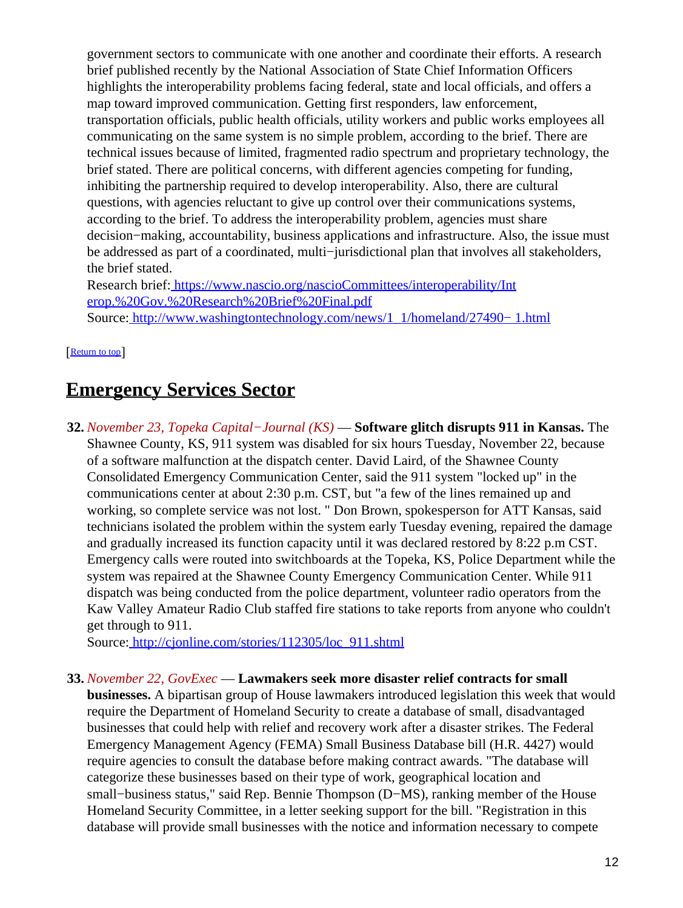government sectors to communicate with one another and coordinate their efforts. A research brief published recently by the National Association of State Chief Information Officers highlights the interoperability problems facing federal, state and local officials, and offers a map toward improved communication. Getting first responders, law enforcement, transportation officials, public health officials, utility workers and public works employees all communicating on the same system is no simple problem, according to the brief. There are technical issues because of limited, fragmented radio spectrum and proprietary technology, the brief stated. There are political concerns, with different agencies competing for funding, inhibiting the partnership required to develop interoperability. Also, there are cultural questions, with agencies reluctant to give up control over their communications systems, according to the brief. To address the interoperability problem, agencies must share decision−making, accountability, business applications and infrastructure. Also, the issue must be addressed as part of a coordinated, multi−jurisdictional plan that involves all stakeholders, the brief stated.

Research brief: [https://www.nascio.org/nascioCommittees/interoperability/Int](https://www.nascio.org/nascioCommittees/interoperability/Interop.%20Gov.%20Research%20Brief%20Final.pdf) [erop.%20Gov.%20Research%20Brief%20Final.pdf](https://www.nascio.org/nascioCommittees/interoperability/Interop.%20Gov.%20Research%20Brief%20Final.pdf) Source[: http://www.washingtontechnology.com/news/1\\_1/homeland/27490− 1.html](http://www.washingtontechnology.com/news/1_1/homeland/27490-1.html)

[[Return to top](#page-0-1)]

### <span id="page-11-0"></span>**Emergency Services Sector**

**32.** *November 23, Topeka Capital−Journal (KS)* — **Software glitch disrupts 911 in Kansas.** The Shawnee County, KS, 911 system was disabled for six hours Tuesday, November 22, because of a software malfunction at the dispatch center. David Laird, of the Shawnee County Consolidated Emergency Communication Center, said the 911 system "locked up" in the communications center at about 2:30 p.m. CST, but "a few of the lines remained up and working, so complete service was not lost. " Don Brown, spokesperson for ATT Kansas, said technicians isolated the problem within the system early Tuesday evening, repaired the damage and gradually increased its function capacity until it was declared restored by 8:22 p.m CST. Emergency calls were routed into switchboards at the Topeka, KS, Police Department while the system was repaired at the Shawnee County Emergency Communication Center. While 911 dispatch was being conducted from the police department, volunteer radio operators from the Kaw Valley Amateur Radio Club staffed fire stations to take reports from anyone who couldn't get through to 911.

Source[: http://cjonline.com/stories/112305/loc\\_911.shtml](http://cjonline.com/stories/112305/loc_911.shtml)

#### **33.** *November 22, GovExec* — **Lawmakers seek more disaster relief contracts for small**

**businesses.** A bipartisan group of House lawmakers introduced legislation this week that would require the Department of Homeland Security to create a database of small, disadvantaged businesses that could help with relief and recovery work after a disaster strikes. The Federal Emergency Management Agency (FEMA) Small Business Database bill (H.R. 4427) would require agencies to consult the database before making contract awards. "The database will categorize these businesses based on their type of work, geographical location and small−business status," said Rep. Bennie Thompson (D−MS), ranking member of the House Homeland Security Committee, in a letter seeking support for the bill. "Registration in this database will provide small businesses with the notice and information necessary to compete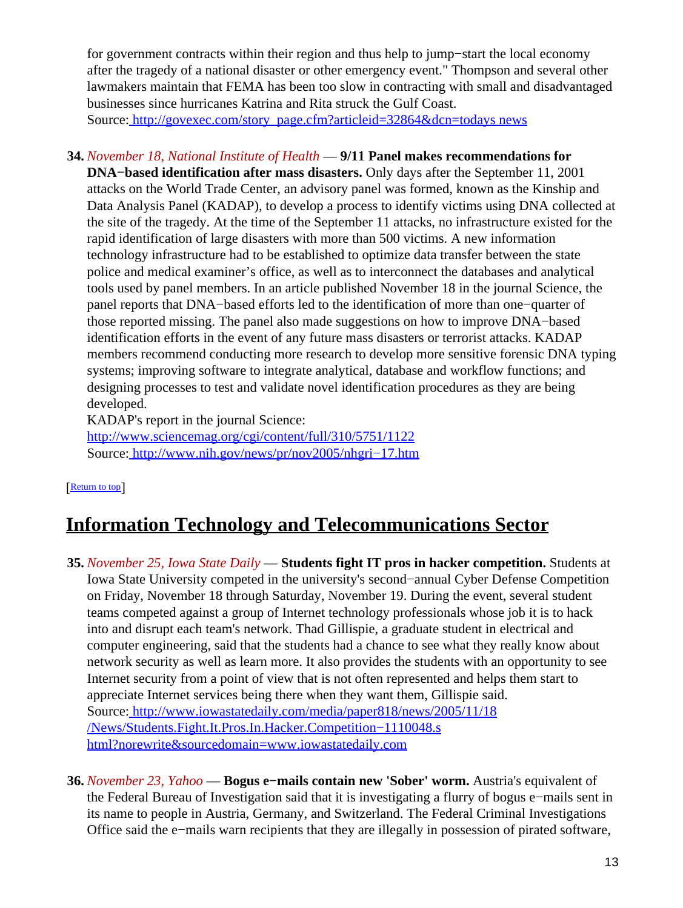for government contracts within their region and thus help to jump−start the local economy after the tragedy of a national disaster or other emergency event." Thompson and several other lawmakers maintain that FEMA has been too slow in contracting with small and disadvantaged businesses since hurricanes Katrina and Rita struck the Gulf Coast. Source[: http://govexec.com/story\\_page.cfm?articleid=32864&dcn=todays news](http://govexec.com/story_page.cfm?articleid=32864&dcn=todaysnews)

### **34.** *November 18, National Institute of Health* — **9/11 Panel makes recommendations for**

**DNA−based identification after mass disasters.** Only days after the September 11, 2001 attacks on the World Trade Center, an advisory panel was formed, known as the Kinship and Data Analysis Panel (KADAP), to develop a process to identify victims using DNA collected at the site of the tragedy. At the time of the September 11 attacks, no infrastructure existed for the rapid identification of large disasters with more than 500 victims. A new information technology infrastructure had to be established to optimize data transfer between the state police and medical examiner's office, as well as to interconnect the databases and analytical tools used by panel members. In an article published November 18 in the journal Science, the panel reports that DNA−based efforts led to the identification of more than one−quarter of those reported missing. The panel also made suggestions on how to improve DNA−based identification efforts in the event of any future mass disasters or terrorist attacks. KADAP members recommend conducting more research to develop more sensitive forensic DNA typing systems; improving software to integrate analytical, database and workflow functions; and designing processes to test and validate novel identification procedures as they are being developed.

KADAP's report in the journal Science:

<http://www.sciencemag.org/cgi/content/full/310/5751/1122> Source[: http://www.nih.gov/news/pr/nov2005/nhgri−17.htm](http://www.nih.gov/news/pr/nov2005/nhgri-17.htm)

#### [[Return to top](#page-0-1)]

## <span id="page-12-0"></span>**Information Technology and Telecommunications Sector**

- **35.** *November 25, Iowa State Daily* — **Students fight IT pros in hacker competition.** Students at Iowa State University competed in the university's second−annual Cyber Defense Competition on Friday, November 18 through Saturday, November 19. During the event, several student teams competed against a group of Internet technology professionals whose job it is to hack into and disrupt each team's network. Thad Gillispie, a graduate student in electrical and computer engineering, said that the students had a chance to see what they really know about network security as well as learn more. It also provides the students with an opportunity to see Internet security from a point of view that is not often represented and helps them start to appreciate Internet services being there when they want them, Gillispie said. Source[: http://www.iowastatedaily.com/media/paper818/news/2005/11/18](http://www.iowastatedaily.com/media/paper818/news/2005/11/18/News/Students.Fight.It.Pros.In.Hacker.Competition-1110048.shtml?norewrite&sourcedomain=www.iowastatedaily.com) [/News/Students.Fight.It.Pros.In.Hacker.Competition−1110048.s](http://www.iowastatedaily.com/media/paper818/news/2005/11/18/News/Students.Fight.It.Pros.In.Hacker.Competition-1110048.shtml?norewrite&sourcedomain=www.iowastatedaily.com) [html?norewrite&sourcedomain=www.iowastatedaily.com](http://www.iowastatedaily.com/media/paper818/news/2005/11/18/News/Students.Fight.It.Pros.In.Hacker.Competition-1110048.shtml?norewrite&sourcedomain=www.iowastatedaily.com)
- **36.** *November 23, Yahoo* — **Bogus e−mails contain new 'Sober' worm.** Austria's equivalent of the Federal Bureau of Investigation said that it is investigating a flurry of bogus e−mails sent in its name to people in Austria, Germany, and Switzerland. The Federal Criminal Investigations Office said the e−mails warn recipients that they are illegally in possession of pirated software,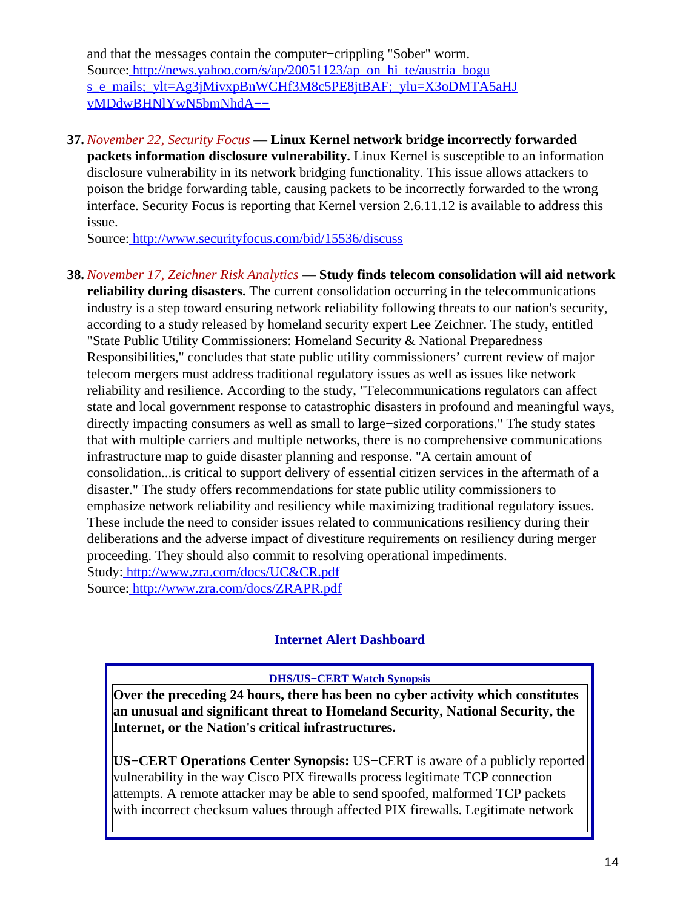and that the messages contain the computer−crippling "Sober" worm. Source[: http://news.yahoo.com/s/ap/20051123/ap\\_on\\_hi\\_te/austria\\_bogu](http://news.yahoo.com/s/ap/20051123/ap_on_hi_te/austria_bogus_e_mails;_ylt=Ag3jMivxpBnWCHf3M8c5PE8jtBAF;_ylu=X3oDMTA5aHJvMDdwBHNlYwN5bmNhdA--) [s\\_e\\_mails;\\_ylt=Ag3jMivxpBnWCHf3M8c5PE8jtBAF;\\_ylu=X3oDMTA5aHJ](http://news.yahoo.com/s/ap/20051123/ap_on_hi_te/austria_bogus_e_mails;_ylt=Ag3jMivxpBnWCHf3M8c5PE8jtBAF;_ylu=X3oDMTA5aHJvMDdwBHNlYwN5bmNhdA--) [vMDdwBHNlYwN5bmNhdA−−](http://news.yahoo.com/s/ap/20051123/ap_on_hi_te/austria_bogus_e_mails;_ylt=Ag3jMivxpBnWCHf3M8c5PE8jtBAF;_ylu=X3oDMTA5aHJvMDdwBHNlYwN5bmNhdA--)

**37.** *November 22, Security Focus* — **Linux Kernel network bridge incorrectly forwarded packets information disclosure vulnerability.** Linux Kernel is susceptible to an information disclosure vulnerability in its network bridging functionality. This issue allows attackers to poison the bridge forwarding table, causing packets to be incorrectly forwarded to the wrong interface. Security Focus is reporting that Kernel version 2.6.11.12 is available to address this issue.

Source[: http://www.securityfocus.com/bid/15536/discuss](http://www.securityfocus.com/bid/15536/discuss)

**38.** *November 17, Zeichner Risk Analytics* — **Study finds telecom consolidation will aid network reliability during disasters.** The current consolidation occurring in the telecommunications industry is a step toward ensuring network reliability following threats to our nation's security, according to a study released by homeland security expert Lee Zeichner. The study, entitled "State Public Utility Commissioners: Homeland Security & National Preparedness Responsibilities," concludes that state public utility commissioners' current review of major telecom mergers must address traditional regulatory issues as well as issues like network reliability and resilience. According to the study, "Telecommunications regulators can affect state and local government response to catastrophic disasters in profound and meaningful ways, directly impacting consumers as well as small to large−sized corporations." The study states that with multiple carriers and multiple networks, there is no comprehensive communications infrastructure map to guide disaster planning and response. "A certain amount of consolidation...is critical to support delivery of essential citizen services in the aftermath of a disaster." The study offers recommendations for state public utility commissioners to emphasize network reliability and resiliency while maximizing traditional regulatory issues. These include the need to consider issues related to communications resiliency during their deliberations and the adverse impact of divestiture requirements on resiliency during merger proceeding. They should also commit to resolving operational impediments. Study[: http://www.zra.com/docs/UC&CR.pdf](http://www.zra.com/docs/UC&CR.pdf) Source[: http://www.zra.com/docs/ZRAPR.pdf](http://www.zra.com/docs/ZRAPR.pdf)

### **Internet Alert Dashboard**

**DHS/US−CERT Watch Synopsis**

<span id="page-13-0"></span>**Over the preceding 24 hours, there has been no cyber activity which constitutes an unusual and significant threat to Homeland Security, National Security, the Internet, or the Nation's critical infrastructures.**

**US−CERT Operations Center Synopsis:** US−CERT is aware of a publicly reported vulnerability in the way Cisco PIX firewalls process legitimate TCP connection attempts. A remote attacker may be able to send spoofed, malformed TCP packets with incorrect checksum values through affected PIX firewalls. Legitimate network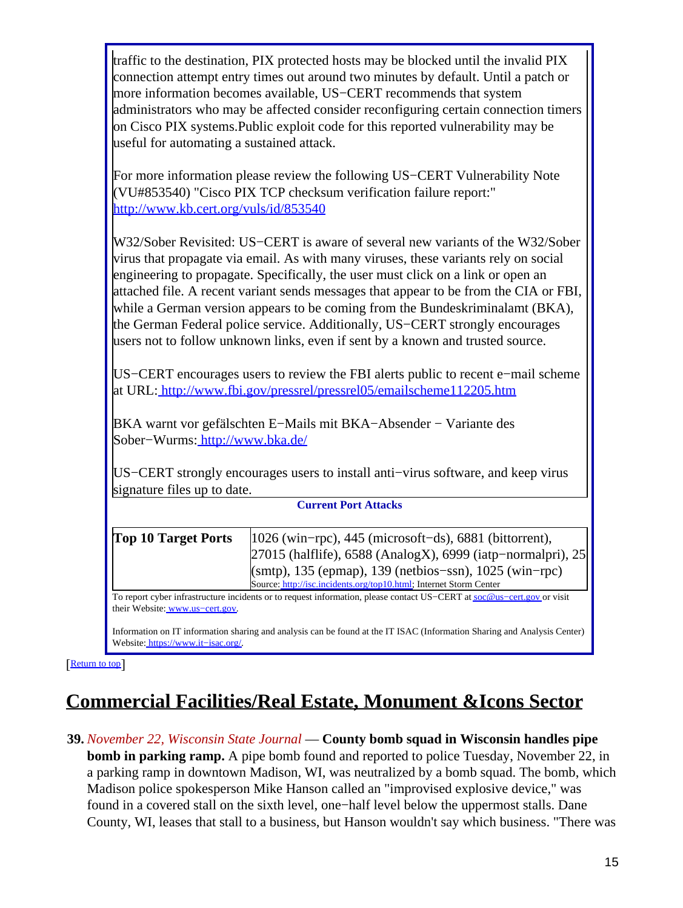traffic to the destination, PIX protected hosts may be blocked until the invalid PIX connection attempt entry times out around two minutes by default. Until a patch or more information becomes available, US−CERT recommends that system administrators who may be affected consider reconfiguring certain connection timers on Cisco PIX systems.Public exploit code for this reported vulnerability may be useful for automating a sustained attack.

For more information please review the following US−CERT Vulnerability Note (VU#853540) "Cisco PIX TCP checksum verification failure report:" <http://www.kb.cert.org/vuls/id/853540>

W32/Sober Revisited: US−CERT is aware of several new variants of the W32/Sober virus that propagate via email. As with many viruses, these variants rely on social engineering to propagate. Specifically, the user must click on a link or open an attached file. A recent variant sends messages that appear to be from the CIA or FBI, while a German version appears to be coming from the Bundeskriminalamt (BKA), the German Federal police service. Additionally, US−CERT strongly encourages users not to follow unknown links, even if sent by a known and trusted source.

US−CERT encourages users to review the FBI alerts public to recent e−mail scheme at URL:<http://www.fbi.gov/pressrel/pressrel05/emailscheme112205.htm>

BKA warnt vor gefälschten E−Mails mit BKA−Absender − Variante des Sober−Wurms[: http://www.bka.de/](http://www.bka.de/<br><br>)

US−CERT strongly encourages users to install anti−virus software, and keep virus signature files up to date.

#### **Current Port Attacks**

| <b>Top 10 Target Ports</b> | $1026$ (win-rpc), 445 (microsoft-ds), 6881 (bittorrent),           |
|----------------------------|--------------------------------------------------------------------|
|                            | 27015 (halflife), 6588 (AnalogX), 6999 (iatp-normalpri), 25        |
|                            | $\text{(smtp)}$ , 135 (epmap), 139 (netbios-ssn), 1025 (win-rpc)   |
|                            | Source: http://isc.incidents.org/top10.html; Internet Storm Center |

To report cyber infrastructure incidents or to request information, please contact US−CERT at [soc@us−cert.gov](mailto:soc@us-cert.gov) or visit their Website: [www.us−cert.gov.](http://www.us-cert.gov/)

Information on IT information sharing and analysis can be found at the IT ISAC (Information Sharing and Analysis Center) Website: [https://www.it−isac.org/.](https://www.it-isac.org/)

[[Return to top](#page-0-1)]

# <span id="page-14-0"></span>**Commercial Facilities/Real Estate, Monument &Icons Sector**

**39.** *November 22, Wisconsin State Journal* — **County bomb squad in Wisconsin handles pipe bomb in parking ramp.** A pipe bomb found and reported to police Tuesday, November 22, in a parking ramp in downtown Madison, WI, was neutralized by a bomb squad. The bomb, which Madison police spokesperson Mike Hanson called an "improvised explosive device," was found in a covered stall on the sixth level, one−half level below the uppermost stalls. Dane County, WI, leases that stall to a business, but Hanson wouldn't say which business. "There was